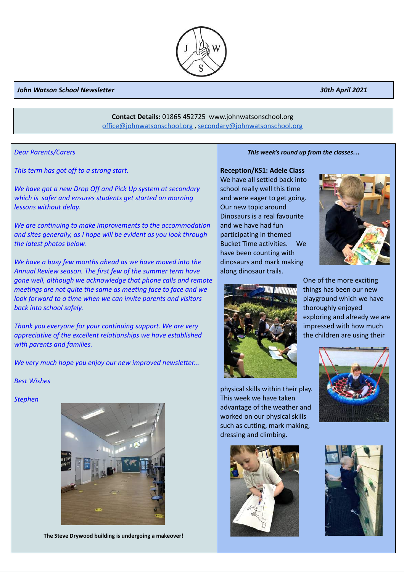### *John Watson School Newsletter 30th April 2021*

# **Contact Details:** 01865 452725 www.johnwatsonschool.org [office@johnwatsonschool.org](mailto:office@johnwatsonschool.org) , [secondary@johnwatsonschool.org](mailto:secondary@johnwatsonschool.org)

*Dear Parents/Carers*

*This term has got off to a strong start.*

*We have got a new Drop Off and Pick Up system at secondary which is safer and ensures students get started on morning lessons without delay.*

*We are continuing to make improvements to the accommodation and sites generally, as I hope will be evident as you look through the latest photos below.*

*We have a busy few months ahead as we have moved into the Annual Review season. The first few of the summer term have gone well, although we acknowledge that phone calls and remote meetings are not quite the same as meeting face to face and we look forward to a time when we can invite parents and visitors back into school safely.*

*Thank you everyone for your continuing support. We are very appreciative of the excellent relationships we have established with parents and families.*

*We very much hope you enjoy our new improved newsletter...*

## *Best Wishes*

## *Stephen*



**The Steve Drywood building is undergoing a makeover!** 

*This week's round up from the classes…*

#### **Reception/KS1: Adele Class**

We have all settled back into school really well this time and were eager to get going. Our new topic around Dinosaurs is a real favourite and we have had fun participating in themed Bucket Time activities. We have been counting with dinosaurs and mark making along dinosaur trails.





One of the more exciting things has been our new playground which we have thoroughly enjoyed exploring and already we are impressed with how much the children are using their

physical skills within their play. This week we have taken advantage of the weather and worked on our physical skills such as cutting, mark making, dressing and climbing.







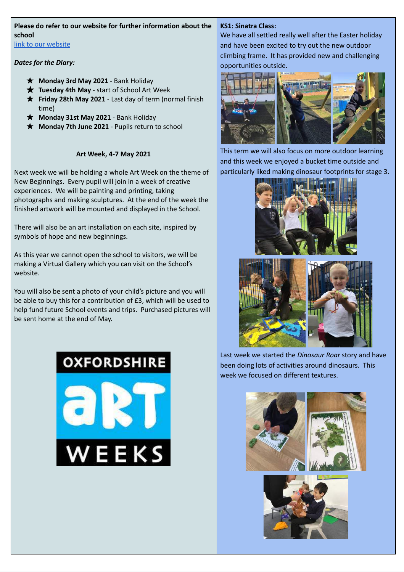# **Please do refer to our website for further information about the school**

link to our [website](https://www.johnwatsonschool.org/)

# *Dates for the Diary:*

- ★ **Monday 3rd May 2021** Bank Holiday
- ★ **Tuesday 4th May** start of School Art Week
- ★ **Friday 28th May 2021** Last day of term (normal finish time)
- ★ **Monday 31st May 2021** Bank Holiday
- ★ **Monday 7th June 2021** Pupils return to school

# **Art Week, 4-7 May 2021**

Next week we will be holding a whole Art Week on the theme of New Beginnings. Every pupil will join in a week of creative experiences. We will be painting and printing, taking photographs and making sculptures. At the end of the week the finished artwork will be mounted and displayed in the School.

There will also be an art installation on each site, inspired by symbols of hope and new beginnings.

As this year we cannot open the school to visitors, we will be making a Virtual Gallery which you can visit on the School's website.

You will also be sent a photo of your child's picture and you will be able to buy this for a contribution of £3, which will be used to help fund future School events and trips. Purchased pictures will be sent home at the end of May.

# **OXFORDSHIRE**



# **KS1: Sinatra Class:**

We have all settled really well after the Easter holiday and have been excited to try out the new outdoor climbing frame. It has provided new and challenging opportunities outside.



This term we will also focus on more outdoor learning and this week we enjoyed a bucket time outside and particularly liked making dinosaur footprints for stage 3.





Last week we started the *Dinosaur Roar* story and have been doing lots of activities around dinosaurs. This week we focused on different textures.

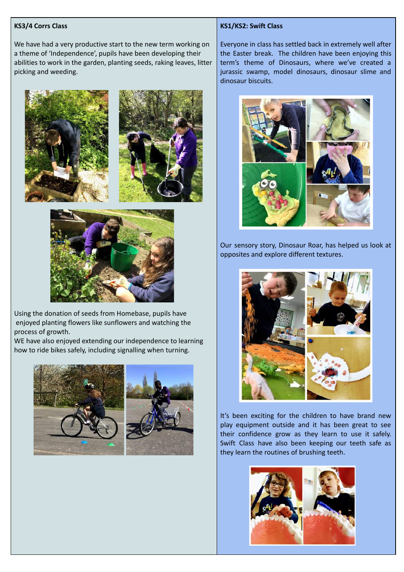## **KS3/4 Corrs Class**

We have had a very productive start to the new term working on a theme of 'Independence', pupils have been developing their abilities to work in the garden, planting seeds, raking leaves, litter picking and weeding.







Using the donation of seeds from Homebase, pupils have enjoyed planting flowers like sunflowers and watching the process of growth.

WE have also enjoyed extending our independence to learning how to ride bikes safely, including signalling when turning.



#### **KS1/KS2: Swift Class**

Everyone in class has settled back in extremely well after the Easter break. The children have been enjoying this term's theme of Dinosaurs, where we've created a jurassic swamp, model dinosaurs, dinosaur slime and dinosaur biscuits.



Our sensory story, Dinosaur Roar, has helped us look at opposites and explore different textures.



It's been exciting for the children to have brand new play equipment outside and it has been great to see their confidence grow as they learn to use it safely. Swift Class have also been keeping our teeth safe as they learn the routines of brushing teeth.

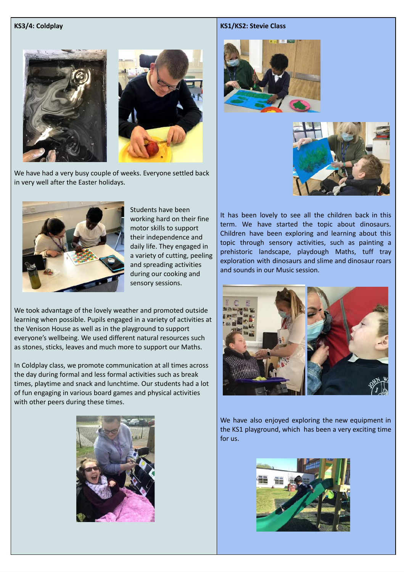## **KS3/4: Coldplay**



We have had a very busy couple of weeks. Everyone settled back in very well after the Easter holidays.



Students have been working hard on their fine motor skills to support their independence and daily life. They engaged in a variety of cutting, peeling and spreading activities during our cooking and sensory sessions.

We took advantage of the lovely weather and promoted outside learning when possible. Pupils engaged in a variety of activities at the Venison House as well as in the playground to support everyone's wellbeing. We used different natural resources such as stones, sticks, leaves and much more to support our Maths.

In Coldplay class, we promote communication at all times across the day during formal and less formal activities such as break times, playtime and snack and lunchtime. Our students had a lot of fun engaging in various board games and physical activities with other peers during these times.



#### **KS1/KS2: Stevie Class**





It has been lovely to see all the children back in this term. We have started the topic about dinosaurs. Children have been exploring and learning about this topic through sensory activities, such as painting a prehistoric landscape, playdough Maths, tuff tray exploration with dinosaurs and slime and dinosaur roars and sounds in our Music session.



We have also enjoyed exploring the new equipment in the KS1 playground, which has been a very exciting time for us.

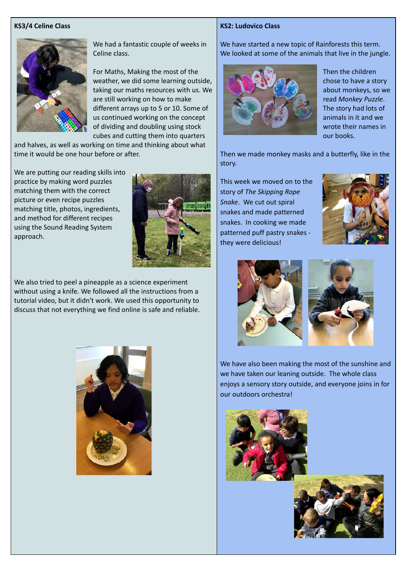## **KS3/4 Celine Class**



We had a fantastic couple of weeks in Celine class.

For Maths, Making the most of the weather, we did some learning outside, taking our maths resources with us. We are still working on how to make different arrays up to 5 or 10. Some of us continued working on the concept of dividing and doubling using stock cubes and cutting them into quarters

and halves, as well as working on time and thinking about what time it would be one hour before or after.

We are putting our reading skills into practice by making word puzzles matching them with the correct picture or even recipe puzzles matching title, photos, ingredients, and method for different recipes using the Sound Reading System approach.



We also tried to peel a pineapple as a science experiment without using a knife. We followed all the instructions from a tutorial video, but it didn't work. We used this opportunity to discuss that not everything we find online is safe and reliable.



#### **KS2: Ludovico Class**

We have started a new topic of Rainforests this term. We looked at some of the animals that live in the jungle.



Then the children chose to have a story about monkeys, so we read *Monkey Puzzle*. The story had lots of animals in it and we wrote their names in our books.

Then we made monkey masks and a butterfly, like in the story.

This week we moved on to the story of *The Skipping Rope Snake*. We cut out spiral snakes and made patterned snakes. In cooking we made patterned puff pastry snakes they were delicious!





We have also been making the most of the sunshine and we have taken our leaning outside. The whole class enjoys a sensory story outside, and everyone joins in for our outdoors orchestra!



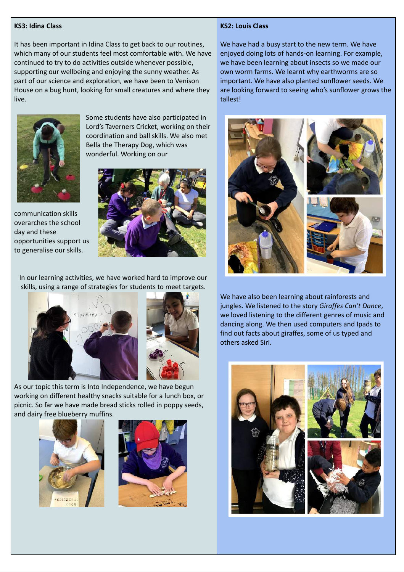### **KS3: Idina Class**

It has been important in Idina Class to get back to our routines, which many of our students feel most comfortable with. We have continued to try to do activities outside whenever possible, supporting our wellbeing and enjoying the sunny weather. As part of our science and exploration, we have been to Venison House on a bug hunt, looking for small creatures and where they live.



communication skills overarches the school

to generalise our skills.

day and these

Some students have also participated in Lord's Taverners Cricket, working on their coordination and ball skills. We also met Bella the Therapy Dog, which was wonderful. Working on our



In our learning activities, we have worked hard to improve our skills, using a range of strategies for students to meet targets.



As our topic this term is Into Independence, we have begun working on different healthy snacks suitable for a lunch box, or picnic. So far we have made bread sticks rolled in poppy seeds, and dairy free blueberry muffins.





#### **KS2: Louis Class**

We have had a busy start to the new term. We have enjoyed doing lots of hands-on learning. For example, we have been learning about insects so we made our own worm farms. We learnt why earthworms are so important. We have also planted sunflower seeds. We are looking forward to seeing who's sunflower grows the tallest!



We have also been learning about rainforests and jungles. We listened to the story *Giraffes Can't Dance*, we loved listening to the different genres of music and dancing along. We then used computers and Ipads to find out facts about giraffes, some of us typed and others asked Siri.